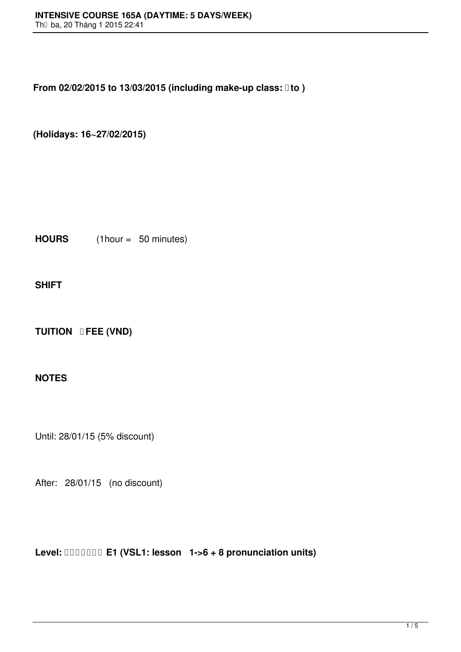**From 02/02/2015 to 13/03/2015 (including make-up class:**  $\text{I}$  **to )** 

**(Holidays: 16~27/02/2015)**

**HOURS** (1hour = 50 minutes)

**SHIFT**

**TUITION <b>DFEE** (VND)

## **NOTES**

Until: 28/01/15 (5% discount)

After: 28/01/15 (no discount)

**Level: E1 (VSL1: lesson 1->6 + 8 pronunciation units)**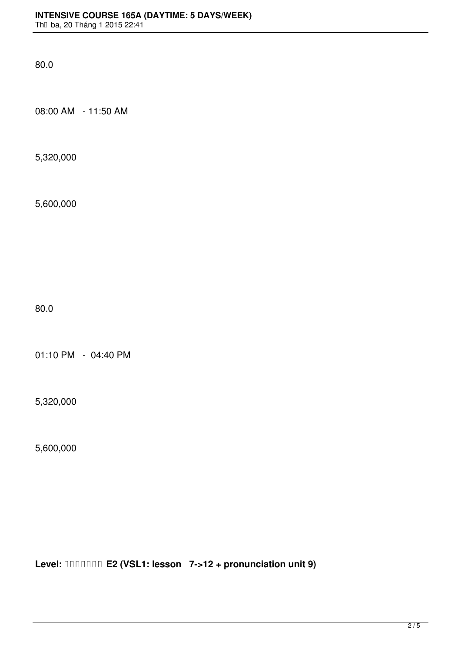80.0

08:00 AM - 11:50 AM

5,320,000

5,600,000

80.0

01:10 PM - 04:40 PM

5,320,000

5,600,000

**Level: E2 (VSL1: lesson 7->12 + pronunciation unit 9)**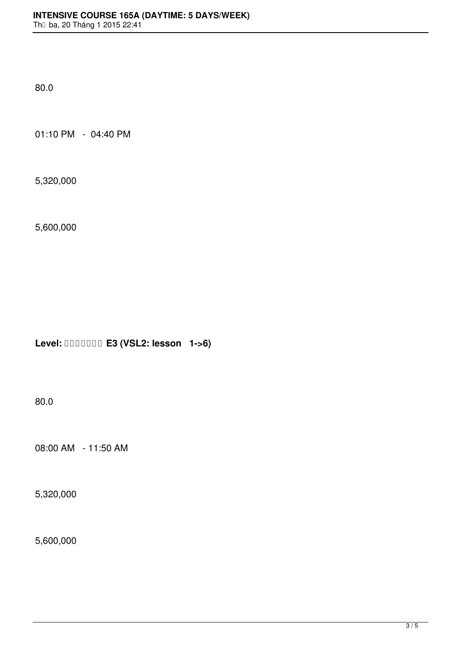80.0

01:10 PM - 04:40 PM

5,320,000

5,600,000

**Level: E3 (VSL2: lesson 1->6)**

80.0

08:00 AM - 11:50 AM

5,320,000

5,600,000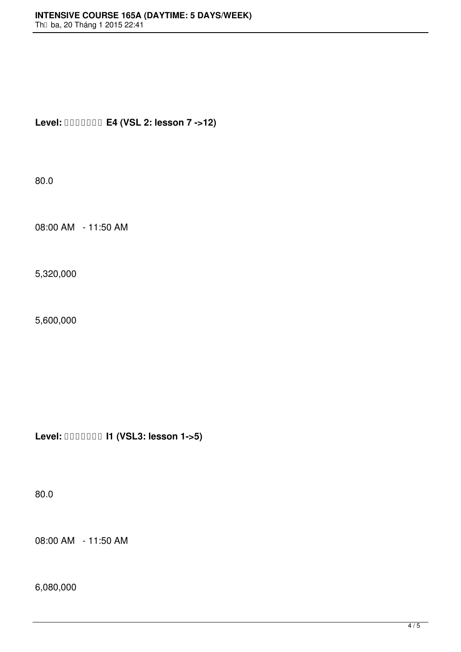## **Level: E4 (VSL 2: lesson 7 ->12)**

80.0

08:00 AM - 11:50 AM

5,320,000

5,600,000

**Level: I1 (VSL3: lesson 1->5)**

80.0

08:00 AM - 11:50 AM

6,080,000